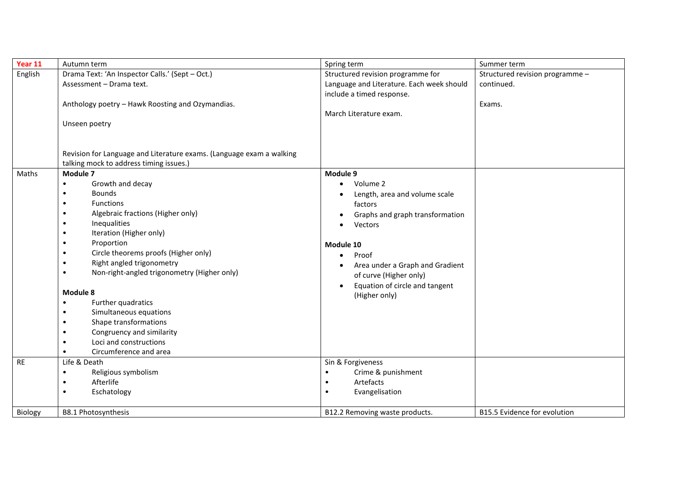| Year 11   | Autumn term                                                                                | Spring term                                                                                                                | Summer term                     |  |
|-----------|--------------------------------------------------------------------------------------------|----------------------------------------------------------------------------------------------------------------------------|---------------------------------|--|
| English   | Drama Text: 'An Inspector Calls.' (Sept - Oct.)                                            | Structured revision programme for                                                                                          | Structured revision programme - |  |
|           | Assessment - Drama text.                                                                   | Language and Literature. Each week should                                                                                  | continued.                      |  |
|           |                                                                                            | include a timed response.                                                                                                  |                                 |  |
|           | Anthology poetry - Hawk Roosting and Ozymandias.                                           |                                                                                                                            | Exams.                          |  |
|           |                                                                                            | March Literature exam.                                                                                                     |                                 |  |
|           | Unseen poetry                                                                              |                                                                                                                            |                                 |  |
|           |                                                                                            |                                                                                                                            |                                 |  |
|           |                                                                                            |                                                                                                                            |                                 |  |
|           | Revision for Language and Literature exams. (Language exam a walking                       |                                                                                                                            |                                 |  |
|           | talking mock to address timing issues.)                                                    |                                                                                                                            |                                 |  |
| Maths     | Module 7                                                                                   | Module 9                                                                                                                   |                                 |  |
|           | Growth and decay<br>$\bullet$                                                              | Volume 2                                                                                                                   |                                 |  |
|           | <b>Bounds</b>                                                                              | Length, area and volume scale                                                                                              |                                 |  |
|           | <b>Functions</b>                                                                           | factors                                                                                                                    |                                 |  |
|           | Algebraic fractions (Higher only)                                                          | Graphs and graph transformation                                                                                            |                                 |  |
|           | Inequalities                                                                               | Vectors                                                                                                                    |                                 |  |
|           | Iteration (Higher only)                                                                    |                                                                                                                            |                                 |  |
|           | Proportion                                                                                 | Module 10                                                                                                                  |                                 |  |
|           | Circle theorems proofs (Higher only)                                                       | Proof                                                                                                                      |                                 |  |
|           | Right angled trigonometry                                                                  | Area under a Graph and Gradient                                                                                            |                                 |  |
|           | Non-right-angled trigonometry (Higher only)                                                | of curve (Higher only)                                                                                                     |                                 |  |
|           |                                                                                            | Equation of circle and tangent<br>$\bullet$                                                                                |                                 |  |
|           | Module 8                                                                                   | (Higher only)                                                                                                              |                                 |  |
|           | Further quadratics<br>$\bullet$                                                            |                                                                                                                            |                                 |  |
|           | Simultaneous equations                                                                     |                                                                                                                            |                                 |  |
|           | Shape transformations                                                                      |                                                                                                                            |                                 |  |
|           | Congruency and similarity                                                                  |                                                                                                                            |                                 |  |
|           | Loci and constructions                                                                     |                                                                                                                            |                                 |  |
|           | Circumference and area                                                                     |                                                                                                                            |                                 |  |
| <b>RE</b> | Life & Death                                                                               | Sin & Forgiveness                                                                                                          |                                 |  |
|           |                                                                                            |                                                                                                                            |                                 |  |
|           |                                                                                            |                                                                                                                            |                                 |  |
|           |                                                                                            |                                                                                                                            |                                 |  |
|           |                                                                                            |                                                                                                                            |                                 |  |
| Biology   | Religious symbolism<br>$\bullet$<br>Afterlife<br>Eschatology<br><b>B8.1 Photosynthesis</b> | Crime & punishment<br>$\bullet$<br>Artefacts<br>$\bullet$<br>Evangelisation<br>$\bullet$<br>B12.2 Removing waste products. | B15.5 Evidence for evolution    |  |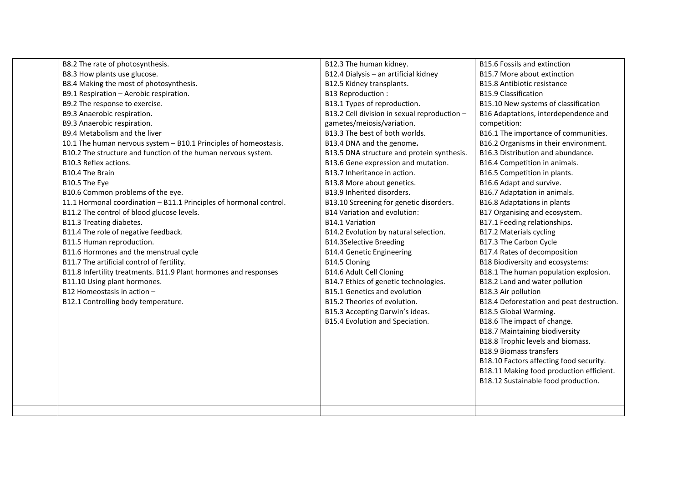| B8.2 The rate of photosynthesis.                                   | B12.3 The human kidney.                      | <b>B15.6 Fossils and extinction</b>       |
|--------------------------------------------------------------------|----------------------------------------------|-------------------------------------------|
| B8.3 How plants use glucose.                                       | B12.4 Dialysis - an artificial kidney        | <b>B15.7 More about extinction</b>        |
| B8.4 Making the most of photosynthesis.                            | B12.5 Kidney transplants.                    | <b>B15.8 Antibiotic resistance</b>        |
| B9.1 Respiration - Aerobic respiration.                            | B13 Reproduction:                            | <b>B15.9 Classification</b>               |
| B9.2 The response to exercise.                                     | B13.1 Types of reproduction.                 | B15.10 New systems of classification      |
| B9.3 Anaerobic respiration.                                        | B13.2 Cell division in sexual reproduction - | B16 Adaptations, interdependence and      |
| B9.3 Anaerobic respiration.                                        | gametes/meiosis/variation.                   | competition:                              |
| B9.4 Metabolism and the liver                                      | B13.3 The best of both worlds.               | B16.1 The importance of communities.      |
| 10.1 The human nervous system - B10.1 Principles of homeostasis.   | B13.4 DNA and the genome.                    | B16.2 Organisms in their environment.     |
| B10.2 The structure and function of the human nervous system.      | B13.5 DNA structure and protein synthesis.   | B16.3 Distribution and abundance.         |
| B10.3 Reflex actions.                                              | B13.6 Gene expression and mutation.          | B16.4 Competition in animals.             |
| B10.4 The Brain                                                    | B13.7 Inheritance in action.                 | B16.5 Competition in plants.              |
| B10.5 The Eye                                                      | B13.8 More about genetics.                   | B16.6 Adapt and survive.                  |
| B10.6 Common problems of the eye.                                  | B13.9 Inherited disorders.                   | B16.7 Adaptation in animals.              |
| 11.1 Hormonal coordination - B11.1 Principles of hormonal control. | B13.10 Screening for genetic disorders.      | <b>B16.8 Adaptations in plants</b>        |
| B11.2 The control of blood glucose levels.                         | <b>B14 Variation and evolution:</b>          | B17 Organising and ecosystem.             |
| B11.3 Treating diabetes.                                           | <b>B14.1 Variation</b>                       | B17.1 Feeding relationships.              |
| B11.4 The role of negative feedback.                               | B14.2 Evolution by natural selection.        | <b>B17.2 Materials cycling</b>            |
| B11.5 Human reproduction.                                          | <b>B14.3Selective Breeding</b>               | B17.3 The Carbon Cycle                    |
| B11.6 Hormones and the menstrual cycle                             | <b>B14.4 Genetic Engineering</b>             | B17.4 Rates of decomposition              |
| B11.7 The artificial control of fertility.                         | B14.5 Cloning                                | <b>B18 Biodiversity and ecosystems:</b>   |
| B11.8 Infertility treatments. B11.9 Plant hormones and responses   | B14.6 Adult Cell Cloning                     | B18.1 The human population explosion.     |
| B11.10 Using plant hormones.                                       | B14.7 Ethics of genetic technologies.        | B18.2 Land and water pollution            |
| B12 Homeostasis in action -                                        | <b>B15.1 Genetics and evolution</b>          | B18.3 Air pollution                       |
| B12.1 Controlling body temperature.                                | B15.2 Theories of evolution.                 | B18.4 Deforestation and peat destruction. |
|                                                                    | B15.3 Accepting Darwin's ideas.              | B18.5 Global Warming.                     |
|                                                                    | B15.4 Evolution and Speciation.              | B18.6 The impact of change.               |
|                                                                    |                                              | <b>B18.7 Maintaining biodiversity</b>     |
|                                                                    |                                              | B18.8 Trophic levels and biomass.         |
|                                                                    |                                              | <b>B18.9 Biomass transfers</b>            |
|                                                                    |                                              | B18.10 Factors affecting food security.   |
|                                                                    |                                              | B18.11 Making food production efficient.  |
|                                                                    |                                              | B18.12 Sustainable food production.       |
|                                                                    |                                              |                                           |
|                                                                    |                                              |                                           |
|                                                                    |                                              |                                           |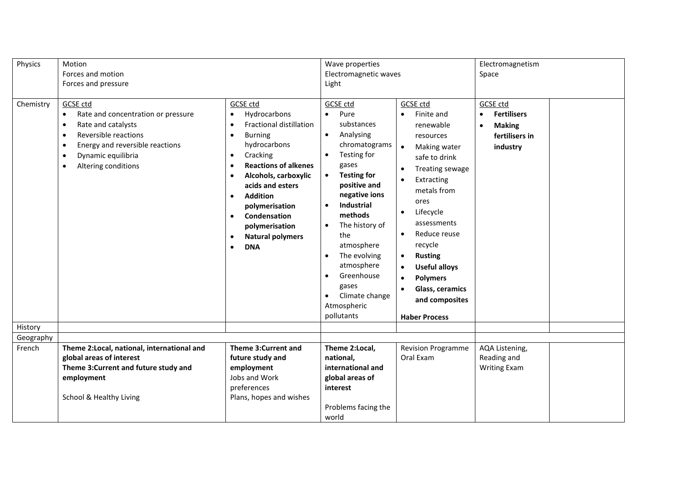| Physics   | Motion                                          |                                             | Wave properties             |                                   | Electromagnetism                |
|-----------|-------------------------------------------------|---------------------------------------------|-----------------------------|-----------------------------------|---------------------------------|
|           | Forces and motion                               |                                             | Electromagnetic waves       |                                   | Space                           |
|           | Forces and pressure                             |                                             | Light                       |                                   |                                 |
|           |                                                 |                                             |                             |                                   |                                 |
| Chemistry | <b>GCSE ctd</b>                                 | <b>GCSE</b> ctd                             | <b>GCSE ctd</b>             | <b>GCSE ctd</b>                   | <b>GCSE</b> ctd                 |
|           | Rate and concentration or pressure<br>$\bullet$ | Hydrocarbons<br>$\bullet$                   | Pure<br>$\bullet$           | Finite and<br>$\bullet$           | <b>Fertilisers</b><br>$\bullet$ |
|           | Rate and catalysts<br>$\bullet$                 | <b>Fractional distillation</b><br>$\bullet$ | substances                  | renewable                         | <b>Making</b><br>$\bullet$      |
|           | Reversible reactions<br>$\bullet$               | <b>Burning</b><br>$\bullet$                 | Analysing<br>$\bullet$      | resources                         | fertilisers in                  |
|           | Energy and reversible reactions<br>$\bullet$    | hydrocarbons                                | chromatograms               | Making water<br>$\bullet$         | industry                        |
|           | Dynamic equilibria<br>٠                         | Cracking<br>٠                               | Testing for                 | safe to drink                     |                                 |
|           | Altering conditions<br>٠                        | <b>Reactions of alkenes</b><br>٠            | gases                       | Treating sewage<br>$\bullet$      |                                 |
|           |                                                 | Alcohols, carboxylic                        | <b>Testing for</b>          | Extracting                        |                                 |
|           |                                                 | acids and esters                            | positive and                | metals from                       |                                 |
|           |                                                 | <b>Addition</b><br>$\bullet$                | negative ions               | ores                              |                                 |
|           |                                                 | polymerisation                              | Industrial<br>$\bullet$     | Lifecycle<br>$\bullet$            |                                 |
|           |                                                 | Condensation<br>$\bullet$                   | methods                     |                                   |                                 |
|           |                                                 | polymerisation                              | The history of<br>$\bullet$ | assessments                       |                                 |
|           |                                                 | <b>Natural polymers</b><br>$\bullet$        | the                         | Reduce reuse<br>$\bullet$         |                                 |
|           |                                                 | <b>DNA</b><br>$\bullet$                     | atmosphere                  | recycle                           |                                 |
|           |                                                 |                                             | The evolving<br>$\bullet$   | <b>Rusting</b><br>$\bullet$       |                                 |
|           |                                                 |                                             | atmosphere                  | <b>Useful alloys</b><br>$\bullet$ |                                 |
|           |                                                 |                                             | Greenhouse<br>$\bullet$     | <b>Polymers</b><br>$\bullet$      |                                 |
|           |                                                 |                                             | gases                       | Glass, ceramics<br>$\bullet$      |                                 |
|           |                                                 |                                             | Climate change              | and composites                    |                                 |
|           |                                                 |                                             | Atmospheric                 |                                   |                                 |
|           |                                                 |                                             | pollutants                  | <b>Haber Process</b>              |                                 |
| History   |                                                 |                                             |                             |                                   |                                 |
| Geography |                                                 |                                             |                             |                                   |                                 |
| French    | Theme 2: Local, national, international and     | Theme 3: Current and                        | Theme 2:Local,              | <b>Revision Programme</b>         | AQA Listening,                  |
|           | global areas of interest                        | future study and                            | national,                   | Oral Exam                         | Reading and                     |
|           | Theme 3: Current and future study and           | employment                                  | international and           |                                   | <b>Writing Exam</b>             |
|           | employment                                      | Jobs and Work                               | global areas of             |                                   |                                 |
|           |                                                 | preferences                                 | interest                    |                                   |                                 |
|           | School & Healthy Living                         | Plans, hopes and wishes                     |                             |                                   |                                 |
|           |                                                 |                                             | Problems facing the         |                                   |                                 |
|           |                                                 |                                             | world                       |                                   |                                 |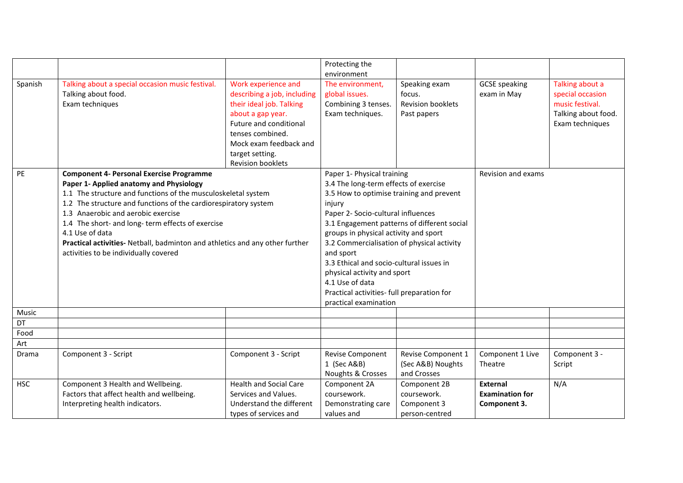|            |                                                                                                                                                                                                                                     |                               | Protecting the                                                                                                                                                                                                                                                                                                                                             |                          |                        |                     |
|------------|-------------------------------------------------------------------------------------------------------------------------------------------------------------------------------------------------------------------------------------|-------------------------------|------------------------------------------------------------------------------------------------------------------------------------------------------------------------------------------------------------------------------------------------------------------------------------------------------------------------------------------------------------|--------------------------|------------------------|---------------------|
|            |                                                                                                                                                                                                                                     |                               | environment                                                                                                                                                                                                                                                                                                                                                |                          |                        |                     |
| Spanish    | Talking about a special occasion music festival.                                                                                                                                                                                    | Work experience and           | The environment,                                                                                                                                                                                                                                                                                                                                           | Speaking exam            | <b>GCSE</b> speaking   | Talking about a     |
|            | Talking about food.                                                                                                                                                                                                                 | describing a job, including   | global issues.                                                                                                                                                                                                                                                                                                                                             | focus.                   | exam in May            | special occasion    |
|            | Exam techniques                                                                                                                                                                                                                     | their ideal job. Talking      | Combining 3 tenses.                                                                                                                                                                                                                                                                                                                                        | <b>Revision booklets</b> |                        | music festival.     |
|            |                                                                                                                                                                                                                                     | about a gap year.             | Exam techniques.                                                                                                                                                                                                                                                                                                                                           | Past papers              |                        | Talking about food. |
|            |                                                                                                                                                                                                                                     | Future and conditional        |                                                                                                                                                                                                                                                                                                                                                            |                          |                        | Exam techniques     |
|            |                                                                                                                                                                                                                                     | tenses combined.              |                                                                                                                                                                                                                                                                                                                                                            |                          |                        |                     |
|            |                                                                                                                                                                                                                                     | Mock exam feedback and        |                                                                                                                                                                                                                                                                                                                                                            |                          |                        |                     |
|            |                                                                                                                                                                                                                                     | target setting.               |                                                                                                                                                                                                                                                                                                                                                            |                          |                        |                     |
|            |                                                                                                                                                                                                                                     | <b>Revision booklets</b>      |                                                                                                                                                                                                                                                                                                                                                            |                          |                        |                     |
| PE         | <b>Component 4- Personal Exercise Programme</b>                                                                                                                                                                                     |                               | Paper 1- Physical training                                                                                                                                                                                                                                                                                                                                 |                          | Revision and exams     |                     |
|            | Paper 1- Applied anatomy and Physiology                                                                                                                                                                                             |                               | 3.4 The long-term effects of exercise<br>3.5 How to optimise training and prevent<br>injury                                                                                                                                                                                                                                                                |                          |                        |                     |
|            | 1.1 The structure and functions of the musculoskeletal system                                                                                                                                                                       |                               |                                                                                                                                                                                                                                                                                                                                                            |                          |                        |                     |
|            | 1.2 The structure and functions of the cardiorespiratory system                                                                                                                                                                     |                               |                                                                                                                                                                                                                                                                                                                                                            |                          |                        |                     |
|            | 1.3 Anaerobic and aerobic exercise<br>1.4 The short- and long- term effects of exercise<br>4.1 Use of data<br>Practical activities- Netball, badminton and athletics and any other further<br>activities to be individually covered |                               | Paper 2- Socio-cultural influences<br>3.1 Engagement patterns of different social<br>groups in physical activity and sport<br>3.2 Commercialisation of physical activity<br>and sport<br>3.3 Ethical and socio-cultural issues in<br>physical activity and sport<br>4.1 Use of data<br>Practical activities- full preparation for<br>practical examination |                          |                        |                     |
|            |                                                                                                                                                                                                                                     |                               |                                                                                                                                                                                                                                                                                                                                                            |                          |                        |                     |
|            |                                                                                                                                                                                                                                     |                               |                                                                                                                                                                                                                                                                                                                                                            |                          |                        |                     |
|            |                                                                                                                                                                                                                                     |                               |                                                                                                                                                                                                                                                                                                                                                            |                          |                        |                     |
|            |                                                                                                                                                                                                                                     |                               |                                                                                                                                                                                                                                                                                                                                                            |                          |                        |                     |
|            |                                                                                                                                                                                                                                     |                               |                                                                                                                                                                                                                                                                                                                                                            |                          |                        |                     |
|            |                                                                                                                                                                                                                                     |                               |                                                                                                                                                                                                                                                                                                                                                            |                          |                        |                     |
|            |                                                                                                                                                                                                                                     |                               |                                                                                                                                                                                                                                                                                                                                                            |                          |                        |                     |
|            |                                                                                                                                                                                                                                     |                               |                                                                                                                                                                                                                                                                                                                                                            |                          |                        |                     |
|            |                                                                                                                                                                                                                                     |                               |                                                                                                                                                                                                                                                                                                                                                            |                          |                        |                     |
| Music      |                                                                                                                                                                                                                                     |                               |                                                                                                                                                                                                                                                                                                                                                            |                          |                        |                     |
| DT         |                                                                                                                                                                                                                                     |                               |                                                                                                                                                                                                                                                                                                                                                            |                          |                        |                     |
| Food       |                                                                                                                                                                                                                                     |                               |                                                                                                                                                                                                                                                                                                                                                            |                          |                        |                     |
| Art        |                                                                                                                                                                                                                                     |                               |                                                                                                                                                                                                                                                                                                                                                            |                          |                        |                     |
| Drama      | Component 3 - Script                                                                                                                                                                                                                | Component 3 - Script          | Revise Component                                                                                                                                                                                                                                                                                                                                           | Revise Component 1       | Component 1 Live       | Component 3 -       |
|            |                                                                                                                                                                                                                                     |                               | 1 (Sec A&B)                                                                                                                                                                                                                                                                                                                                                | (Sec A&B) Noughts        | Theatre                | Script              |
|            |                                                                                                                                                                                                                                     |                               | Noughts & Crosses                                                                                                                                                                                                                                                                                                                                          | and Crosses              |                        |                     |
| <b>HSC</b> | Component 3 Health and Wellbeing.                                                                                                                                                                                                   | <b>Health and Social Care</b> | Component 2A                                                                                                                                                                                                                                                                                                                                               | Component 2B             | <b>External</b>        | N/A                 |
|            | Factors that affect health and wellbeing.                                                                                                                                                                                           | Services and Values.          | coursework.                                                                                                                                                                                                                                                                                                                                                | coursework.              | <b>Examination for</b> |                     |
|            | Interpreting health indicators.                                                                                                                                                                                                     | Understand the different      | Demonstrating care                                                                                                                                                                                                                                                                                                                                         | Component 3              | Component 3.           |                     |
|            |                                                                                                                                                                                                                                     | types of services and         | values and                                                                                                                                                                                                                                                                                                                                                 | person-centred           |                        |                     |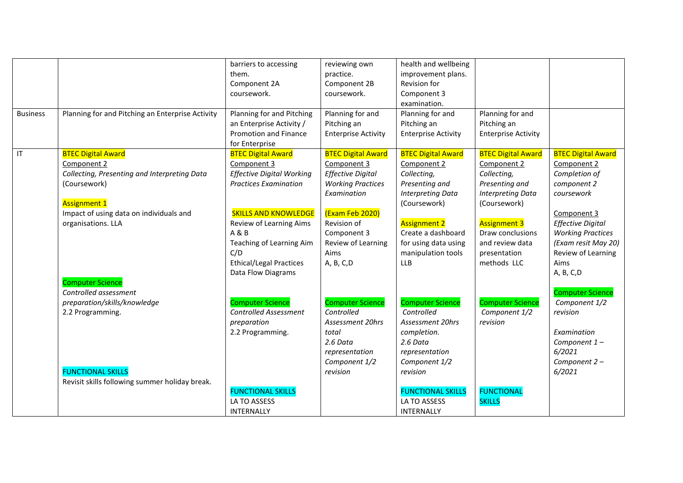|                 |                                                  | barriers to accessing            | reviewing own              | health and wellbeing       |                            |                           |
|-----------------|--------------------------------------------------|----------------------------------|----------------------------|----------------------------|----------------------------|---------------------------|
|                 |                                                  | them.                            | practice.                  | improvement plans.         |                            |                           |
|                 |                                                  | Component 2A                     | Component 2B               | Revision for               |                            |                           |
|                 |                                                  | coursework.                      | coursework.                | Component 3                |                            |                           |
|                 |                                                  |                                  |                            | examination.               |                            |                           |
| <b>Business</b> | Planning for and Pitching an Enterprise Activity | Planning for and Pitching        | Planning for and           | Planning for and           | Planning for and           |                           |
|                 |                                                  | an Enterprise Activity /         | Pitching an                | Pitching an                | Pitching an                |                           |
|                 |                                                  | Promotion and Finance            | <b>Enterprise Activity</b> | <b>Enterprise Activity</b> | <b>Enterprise Activity</b> |                           |
|                 |                                                  | for Enterprise                   |                            |                            |                            |                           |
| IT              | <b>BTEC Digital Award</b>                        | <b>BTEC Digital Award</b>        | <b>BTEC Digital Award</b>  | <b>BTEC Digital Award</b>  | <b>BTEC Digital Award</b>  | <b>BTEC Digital Award</b> |
|                 | Component 2                                      | Component 3                      | Component 3                | Component 2                | Component 2                | Component 2               |
|                 | Collecting, Presenting and Interpreting Data     | <b>Effective Digital Working</b> | <b>Effective Digital</b>   | Collecting,                | Collecting,                | Completion of             |
|                 | (Coursework)                                     | <b>Practices Examination</b>     | <b>Working Practices</b>   | Presenting and             | Presenting and             | component 2               |
|                 |                                                  |                                  | Examination                | <b>Interpreting Data</b>   | <b>Interpreting Data</b>   | coursework                |
|                 | <b>Assignment 1</b>                              |                                  |                            | (Coursework)               | (Coursework)               |                           |
|                 | Impact of using data on individuals and          | <b>SKILLS AND KNOWLEDGE</b>      | (Exam Feb 2020)            |                            |                            | Component 3               |
|                 | organisations. LLA                               | Review of Learning Aims          | Revision of                | <b>Assignment 2</b>        | <b>Assignment 3</b>        | <b>Effective Digital</b>  |
|                 |                                                  | A & B                            | Component 3                | Create a dashboard         | Draw conclusions           | <b>Working Practices</b>  |
|                 |                                                  | Teaching of Learning Aim         | Review of Learning         | for using data using       | and review data            | (Exam resit May 20)       |
|                 |                                                  | C/D                              | Aims                       | manipulation tools         | presentation               | Review of Learning        |
|                 |                                                  | <b>Ethical/Legal Practices</b>   | A, B, C, D                 | <b>LLB</b>                 | methods LLC                | Aims                      |
|                 |                                                  | Data Flow Diagrams               |                            |                            |                            | A, B, C, D                |
|                 | <b>Computer Science</b>                          |                                  |                            |                            |                            |                           |
|                 | Controlled assessment                            |                                  |                            |                            |                            | <b>Computer Science</b>   |
|                 | preparation/skills/knowledge                     | <b>Computer Science</b>          | <b>Computer Science</b>    | <b>Computer Science</b>    | <b>Computer Science</b>    | Component 1/2             |
|                 | 2.2 Programming.                                 | <b>Controlled Assessment</b>     | Controlled                 | Controlled                 | Component 1/2              | revision                  |
|                 |                                                  | preparation                      | Assessment 20hrs           | <b>Assessment 20hrs</b>    | revision                   |                           |
|                 |                                                  | 2.2 Programming.                 | total                      | completion.                |                            | Examination               |
|                 |                                                  |                                  | 2.6 Data                   | 2.6 Data                   |                            | Component 1-              |
|                 |                                                  |                                  | representation             | representation             |                            | 6/2021                    |
|                 |                                                  |                                  | Component 1/2              | Component 1/2              |                            | Component 2-              |
|                 | <b>FUNCTIONAL SKILLS</b>                         |                                  | revision                   | revision                   |                            | 6/2021                    |
|                 | Revisit skills following summer holiday break.   |                                  |                            |                            |                            |                           |
|                 |                                                  | <b>FUNCTIONAL SKILLS</b>         |                            | <b>FUNCTIONAL SKILLS</b>   | <b>FUNCTIONAL</b>          |                           |
|                 |                                                  | LA TO ASSESS                     |                            | LA TO ASSESS               | <b>SKILLS</b>              |                           |
|                 |                                                  | INTERNALLY                       |                            | INTERNALLY                 |                            |                           |